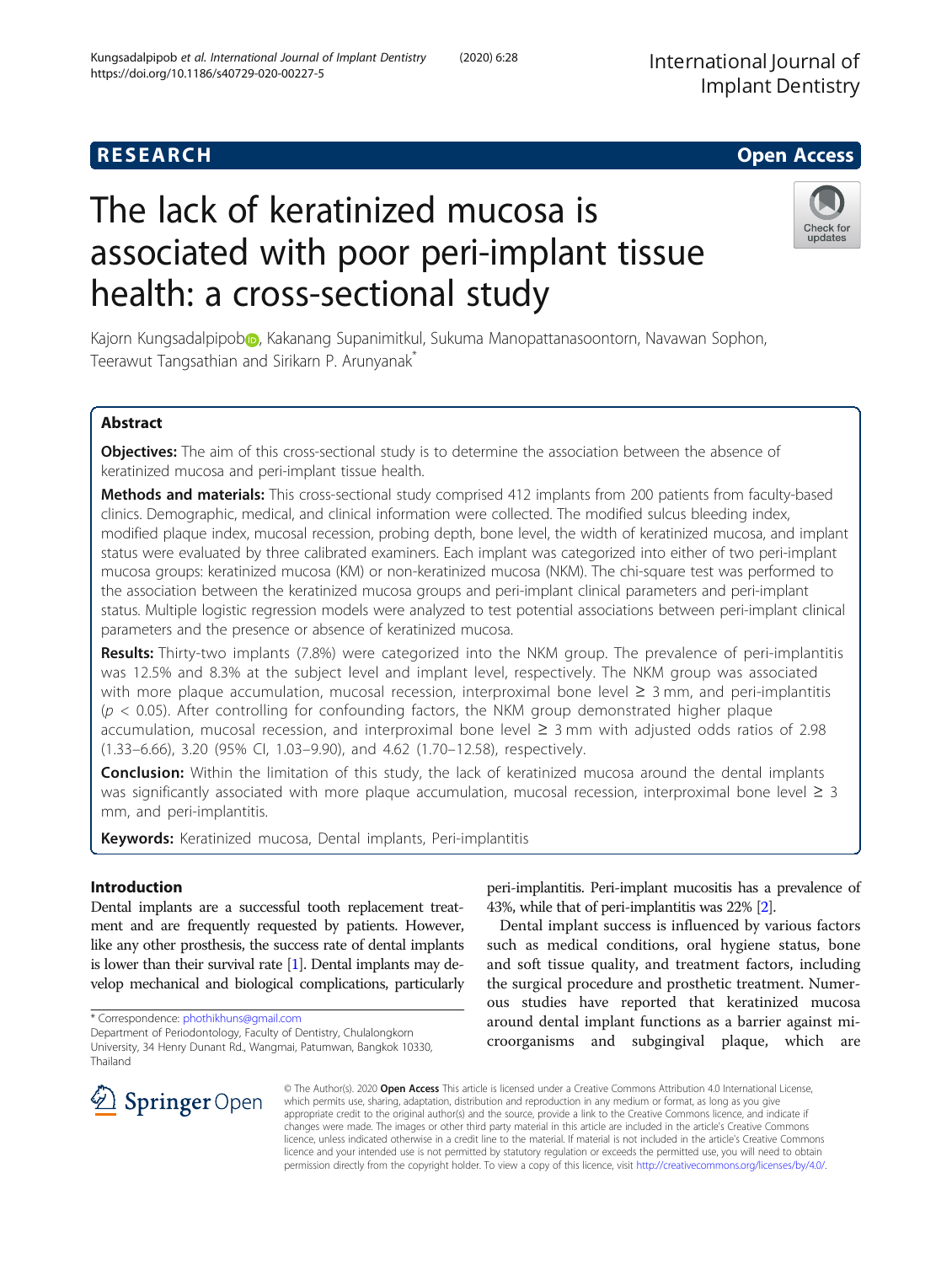# **RESEARCH CHE Open Access**

# The lack of keratinized mucosa is associated with poor peri-implant tissue health: a cross-sectional study

Kajorn Kungsadalpipo[b](http://orcid.org/0000-0002-6270-0892)<sub></sub>, Kakanang Supanimitkul, Sukuma Manopattanasoontorn, Navawan Sophon, Teerawut Tangsathian and Sirikarn P. Arunyanak<sup>\*</sup>

# Abstract

Objectives: The aim of this cross-sectional study is to determine the association between the absence of keratinized mucosa and peri-implant tissue health.

Methods and materials: This cross-sectional study comprised 412 implants from 200 patients from faculty-based clinics. Demographic, medical, and clinical information were collected. The modified sulcus bleeding index, modified plaque index, mucosal recession, probing depth, bone level, the width of keratinized mucosa, and implant status were evaluated by three calibrated examiners. Each implant was categorized into either of two peri-implant mucosa groups: keratinized mucosa (KM) or non-keratinized mucosa (NKM). The chi-square test was performed to the association between the keratinized mucosa groups and peri-implant clinical parameters and peri-implant status. Multiple logistic regression models were analyzed to test potential associations between peri-implant clinical parameters and the presence or absence of keratinized mucosa.

Results: Thirty-two implants (7.8%) were categorized into the NKM group. The prevalence of peri-implantitis was 12.5% and 8.3% at the subject level and implant level, respectively. The NKM group was associated with more plaque accumulation, mucosal recession, interproximal bone level ≥ 3 mm, and peri-implantitis  $(p < 0.05)$ . After controlling for confounding factors, the NKM group demonstrated higher plague accumulation, mucosal recession, and interproximal bone level ≥ 3 mm with adjusted odds ratios of 2.98 (1.33–6.66), 3.20 (95% CI, 1.03–9.90), and 4.62 (1.70–12.58), respectively.

**Conclusion:** Within the limitation of this study, the lack of keratinized mucosa around the dental implants was significantly associated with more plaque accumulation, mucosal recession, interproximal bone level  $\geq 3$ mm, and peri-implantitis.

Keywords: Keratinized mucosa, Dental implants, Peri-implantitis

# Introduction

Dental implants are a successful tooth replacement treatment and are frequently requested by patients. However, like any other prosthesis, the success rate of dental implants is lower than their survival rate [\[1\]](#page-7-0). Dental implants may develop mechanical and biological complications, particularly

Department of Periodontology, Faculty of Dentistry, Chulalongkorn University, 34 Henry Dunant Rd., Wangmai, Patumwan, Bangkok 10330, Thailand

peri-implantitis. Peri-implant mucositis has a prevalence of 43%, while that of peri-implantitis was 22% [\[2\]](#page-7-0).

Dental implant success is influenced by various factors such as medical conditions, oral hygiene status, bone and soft tissue quality, and treatment factors, including the surgical procedure and prosthetic treatment. Numerous studies have reported that keratinized mucosa around dental implant functions as a barrier against microorganisms and subgingival plaque, which are

© The Author(s). 2020 Open Access This article is licensed under a Creative Commons Attribution 4.0 International License, which permits use, sharing, adaptation, distribution and reproduction in any medium or format, as long as you give appropriate credit to the original author(s) and the source, provide a link to the Creative Commons licence, and indicate if changes were made. The images or other third party material in this article are included in the article's Creative Commons licence, unless indicated otherwise in a credit line to the material. If material is not included in the article's Creative Commons licence and your intended use is not permitted by statutory regulation or exceeds the permitted use, you will need to obtain permission directly from the copyright holder. To view a copy of this licence, visit <http://creativecommons.org/licenses/by/4.0/>.

\* Correspondence: [phothikhuns@gmail.com](mailto:phothikhuns@gmail.com)

 $\mathcal{L}$  Springer Open





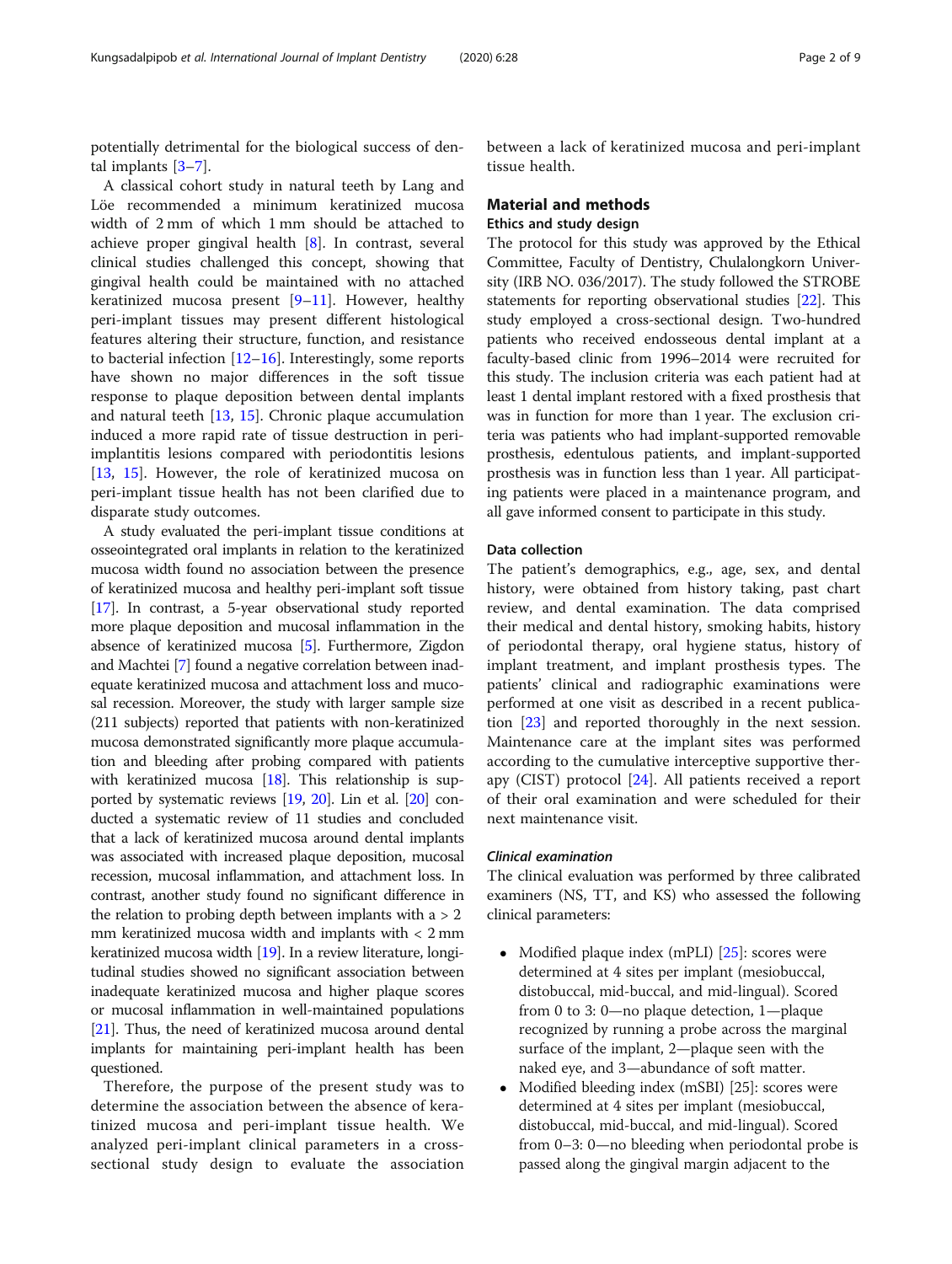potentially detrimental for the biological success of dental implants [\[3](#page-7-0)–[7\]](#page-7-0).

A classical cohort study in natural teeth by Lang and Löe recommended a minimum keratinized mucosa width of 2 mm of which 1 mm should be attached to achieve proper gingival health [[8\]](#page-7-0). In contrast, several clinical studies challenged this concept, showing that gingival health could be maintained with no attached keratinized mucosa present [\[9](#page-7-0)–[11\]](#page-7-0). However, healthy peri-implant tissues may present different histological features altering their structure, function, and resistance to bacterial infection [\[12](#page-7-0)–[16\]](#page-7-0). Interestingly, some reports have shown no major differences in the soft tissue response to plaque deposition between dental implants and natural teeth [\[13](#page-7-0), [15\]](#page-7-0). Chronic plaque accumulation induced a more rapid rate of tissue destruction in periimplantitis lesions compared with periodontitis lesions [[13,](#page-7-0) [15\]](#page-7-0). However, the role of keratinized mucosa on peri-implant tissue health has not been clarified due to disparate study outcomes.

A study evaluated the peri-implant tissue conditions at osseointegrated oral implants in relation to the keratinized mucosa width found no association between the presence of keratinized mucosa and healthy peri-implant soft tissue [[17](#page-7-0)]. In contrast, a 5-year observational study reported more plaque deposition and mucosal inflammation in the absence of keratinized mucosa [[5](#page-7-0)]. Furthermore, Zigdon and Machtei [[7](#page-7-0)] found a negative correlation between inadequate keratinized mucosa and attachment loss and mucosal recession. Moreover, the study with larger sample size (211 subjects) reported that patients with non-keratinized mucosa demonstrated significantly more plaque accumulation and bleeding after probing compared with patients with keratinized mucosa [\[18](#page-7-0)]. This relationship is supported by systematic reviews [[19](#page-8-0), [20](#page-8-0)]. Lin et al. [\[20\]](#page-8-0) conducted a systematic review of 11 studies and concluded that a lack of keratinized mucosa around dental implants was associated with increased plaque deposition, mucosal recession, mucosal inflammation, and attachment loss. In contrast, another study found no significant difference in the relation to probing depth between implants with  $a > 2$ mm keratinized mucosa width and implants with < 2 mm keratinized mucosa width [[19](#page-8-0)]. In a review literature, longitudinal studies showed no significant association between inadequate keratinized mucosa and higher plaque scores or mucosal inflammation in well-maintained populations [[21](#page-8-0)]. Thus, the need of keratinized mucosa around dental implants for maintaining peri-implant health has been questioned.

Therefore, the purpose of the present study was to determine the association between the absence of keratinized mucosa and peri-implant tissue health. We analyzed peri-implant clinical parameters in a crosssectional study design to evaluate the association between a lack of keratinized mucosa and peri-implant tissue health.

# Material and methods Ethics and study design

The protocol for this study was approved by the Ethical Committee, Faculty of Dentistry, Chulalongkorn University (IRB NO. 036/2017). The study followed the STROBE statements for reporting observational studies [[22](#page-8-0)]. This study employed a cross-sectional design. Two-hundred patients who received endosseous dental implant at a faculty-based clinic from 1996–2014 were recruited for this study. The inclusion criteria was each patient had at least 1 dental implant restored with a fixed prosthesis that was in function for more than 1 year. The exclusion criteria was patients who had implant-supported removable prosthesis, edentulous patients, and implant-supported prosthesis was in function less than 1 year. All participating patients were placed in a maintenance program, and all gave informed consent to participate in this study.

# Data collection

The patient's demographics, e.g., age, sex, and dental history, were obtained from history taking, past chart review, and dental examination. The data comprised their medical and dental history, smoking habits, history of periodontal therapy, oral hygiene status, history of implant treatment, and implant prosthesis types. The patients' clinical and radiographic examinations were performed at one visit as described in a recent publication [[23\]](#page-8-0) and reported thoroughly in the next session. Maintenance care at the implant sites was performed according to the cumulative interceptive supportive therapy (CIST) protocol [\[24\]](#page-8-0). All patients received a report of their oral examination and were scheduled for their next maintenance visit.

# Clinical examination

The clinical evaluation was performed by three calibrated examiners (NS, TT, and KS) who assessed the following clinical parameters:

- Modified plaque index (mPLI) [[25](#page-8-0)]: scores were determined at 4 sites per implant (mesiobuccal, distobuccal, mid-buccal, and mid-lingual). Scored from 0 to 3: 0—no plaque detection, 1—plaque recognized by running a probe across the marginal surface of the implant, 2—plaque seen with the naked eye, and 3—abundance of soft matter.
- Modified bleeding index (mSBI) [25]: scores were determined at 4 sites per implant (mesiobuccal, distobuccal, mid-buccal, and mid-lingual). Scored from 0–3: 0—no bleeding when periodontal probe is passed along the gingival margin adjacent to the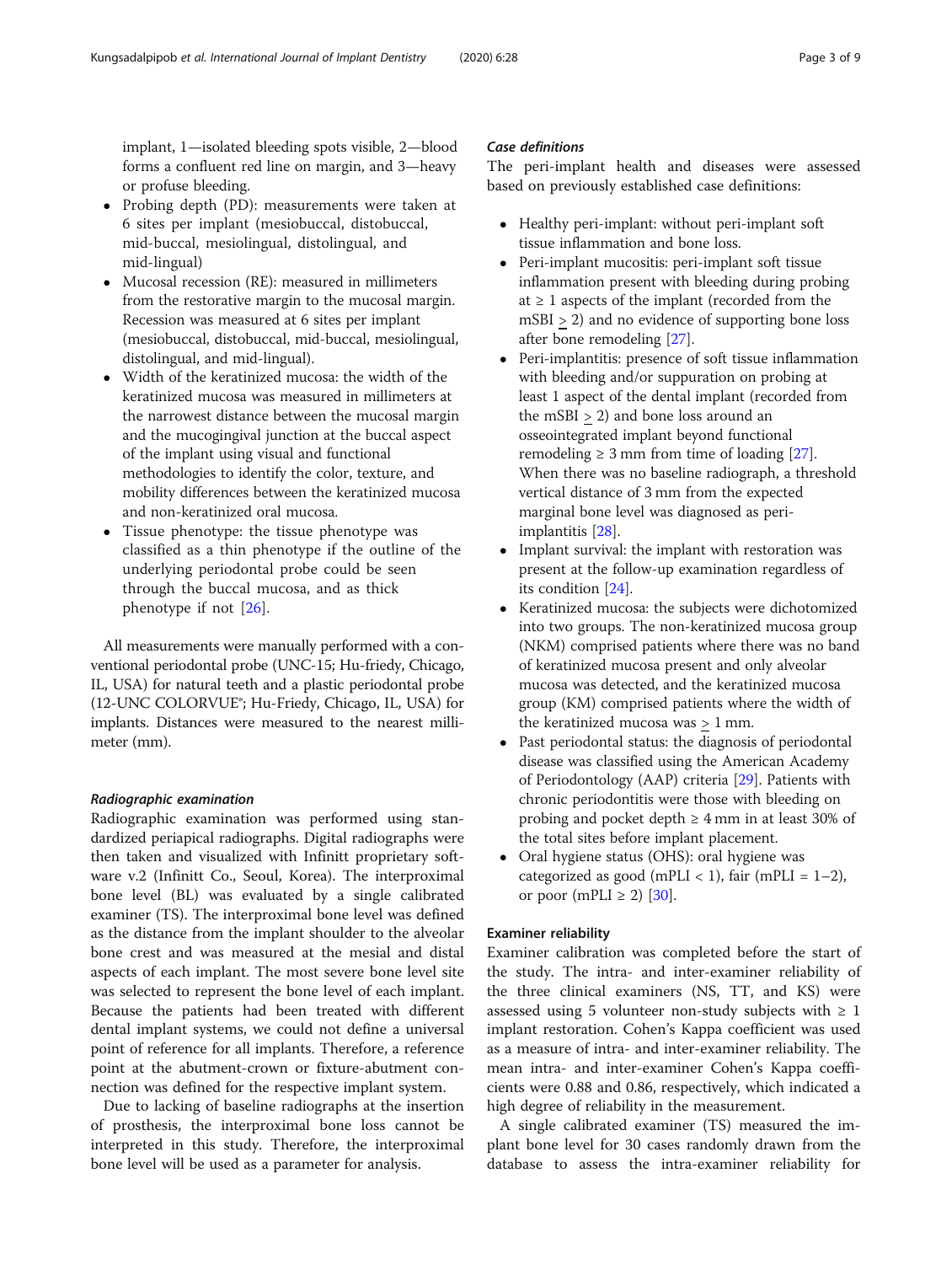implant, 1—isolated bleeding spots visible, 2—blood forms a confluent red line on margin, and 3—heavy or profuse bleeding.

- Probing depth (PD): measurements were taken at 6 sites per implant (mesiobuccal, distobuccal, mid-buccal, mesiolingual, distolingual, and mid-lingual)
- Mucosal recession (RE): measured in millimeters from the restorative margin to the mucosal margin. Recession was measured at 6 sites per implant (mesiobuccal, distobuccal, mid-buccal, mesiolingual, distolingual, and mid-lingual).
- Width of the keratinized mucosa: the width of the keratinized mucosa was measured in millimeters at the narrowest distance between the mucosal margin and the mucogingival junction at the buccal aspect of the implant using visual and functional methodologies to identify the color, texture, and mobility differences between the keratinized mucosa and non-keratinized oral mucosa.
- Tissue phenotype: the tissue phenotype was classified as a thin phenotype if the outline of the underlying periodontal probe could be seen through the buccal mucosa, and as thick phenotype if not [[26\]](#page-8-0).

All measurements were manually performed with a conventional periodontal probe (UNC-15; Hu-friedy, Chicago, IL, USA) for natural teeth and a plastic periodontal probe (12-UNC COLORVUE®; Hu-Friedy, Chicago, IL, USA) for implants. Distances were measured to the nearest millimeter (mm).

# Radiographic examination

Radiographic examination was performed using standardized periapical radiographs. Digital radiographs were then taken and visualized with Infinitt proprietary software v.2 (Infinitt Co., Seoul, Korea). The interproximal bone level (BL) was evaluated by a single calibrated examiner (TS). The interproximal bone level was defined as the distance from the implant shoulder to the alveolar bone crest and was measured at the mesial and distal aspects of each implant. The most severe bone level site was selected to represent the bone level of each implant. Because the patients had been treated with different dental implant systems, we could not define a universal point of reference for all implants. Therefore, a reference point at the abutment-crown or fixture-abutment connection was defined for the respective implant system.

Due to lacking of baseline radiographs at the insertion of prosthesis, the interproximal bone loss cannot be interpreted in this study. Therefore, the interproximal bone level will be used as a parameter for analysis.

# Case definitions

The peri-implant health and diseases were assessed based on previously established case definitions:

- Healthy peri-implant: without peri-implant soft tissue inflammation and bone loss.
- Peri-implant mucositis: peri-implant soft tissue inflammation present with bleeding during probing at  $\geq 1$  aspects of the implant (recorded from the mSBI > 2) and no evidence of supporting bone loss after bone remodeling [[27](#page-8-0)].
- Peri-implantitis: presence of soft tissue inflammation with bleeding and/or suppuration on probing at least 1 aspect of the dental implant (recorded from the mSBI > 2) and bone loss around an osseointegrated implant beyond functional remodeling  $\geq$  3 mm from time of loading [[27](#page-8-0)]. When there was no baseline radiograph, a threshold vertical distance of 3 mm from the expected marginal bone level was diagnosed as periimplantitis [\[28](#page-8-0)].
- Implant survival: the implant with restoration was present at the follow-up examination regardless of its condition [\[24\]](#page-8-0).
- Keratinized mucosa: the subjects were dichotomized into two groups. The non-keratinized mucosa group (NKM) comprised patients where there was no band of keratinized mucosa present and only alveolar mucosa was detected, and the keratinized mucosa group (KM) comprised patients where the width of the keratinized mucosa was > 1 mm.
- Past periodontal status: the diagnosis of periodontal disease was classified using the American Academy of Periodontology (AAP) criteria [\[29\]](#page-8-0). Patients with chronic periodontitis were those with bleeding on probing and pocket depth  $\geq 4$  mm in at least 30% of the total sites before implant placement.
- Oral hygiene status (OHS): oral hygiene was categorized as good (mPLI < 1), fair (mPLI =  $1-2$ ), or poor (mPLI  $\geq$  2) [[30](#page-8-0)].

# Examiner reliability

Examiner calibration was completed before the start of the study. The intra- and inter-examiner reliability of the three clinical examiners (NS, TT, and KS) were assessed using 5 volunteer non-study subjects with  $\geq 1$ implant restoration. Cohen's Kappa coefficient was used as a measure of intra- and inter-examiner reliability. The mean intra- and inter-examiner Cohen's Kappa coefficients were 0.88 and 0.86, respectively, which indicated a high degree of reliability in the measurement.

A single calibrated examiner (TS) measured the implant bone level for 30 cases randomly drawn from the database to assess the intra-examiner reliability for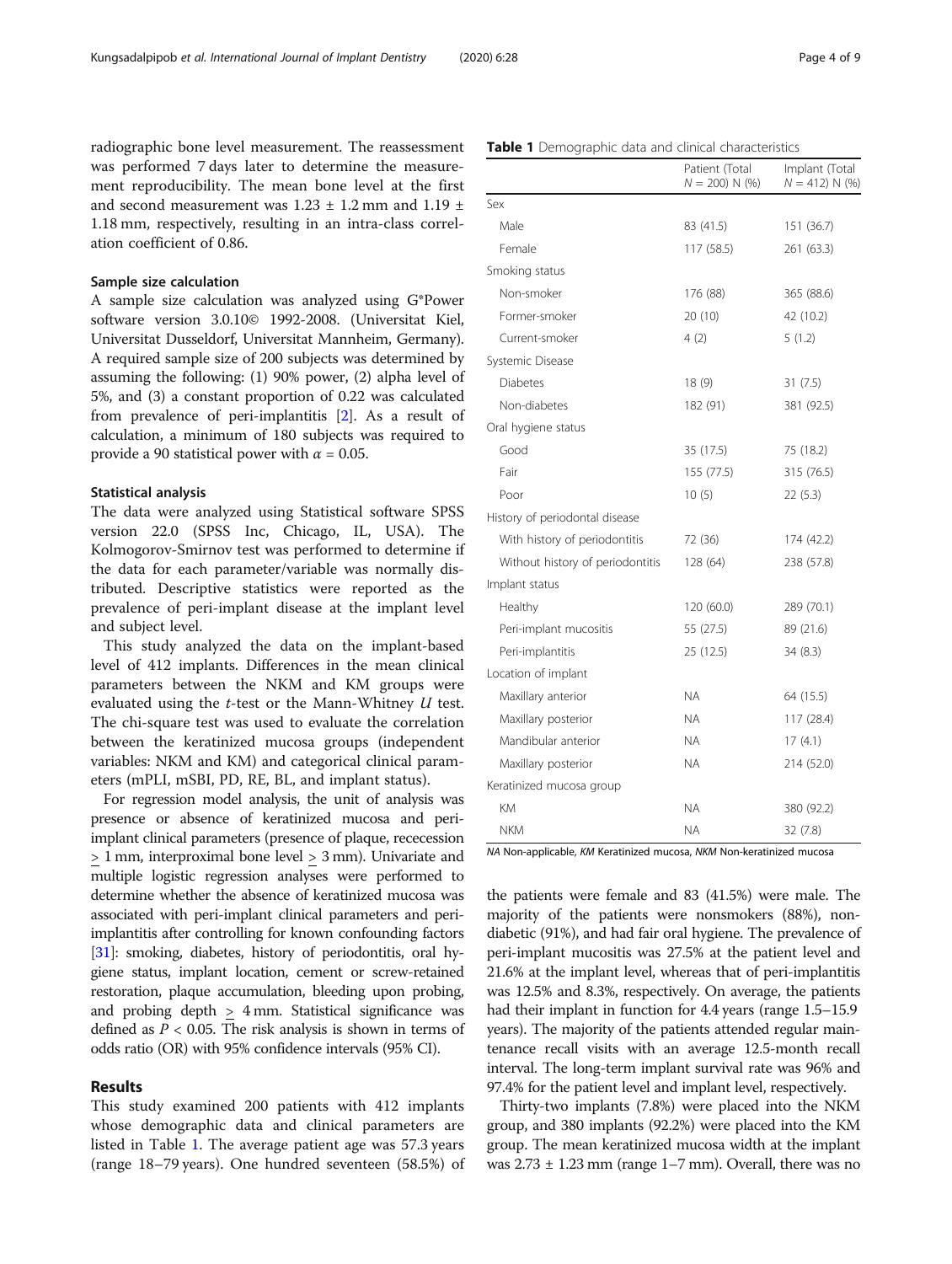radiographic bone level measurement. The reassessment was performed 7 days later to determine the measurement reproducibility. The mean bone level at the first and second measurement was  $1.23 \pm 1.2$  mm and  $1.19 \pm 1.2$ 1.18 mm, respectively, resulting in an intra-class correlation coefficient of 0.86.

# Sample size calculation

A sample size calculation was analyzed using G\*Power software version 3.0.10© 1992-2008. (Universitat Kiel, Universitat Dusseldorf, Universitat Mannheim, Germany). A required sample size of 200 subjects was determined by assuming the following: (1) 90% power, (2) alpha level of 5%, and (3) a constant proportion of 0.22 was calculated from prevalence of peri-implantitis [\[2](#page-7-0)]. As a result of calculation, a minimum of 180 subjects was required to provide a 90 statistical power with  $\alpha = 0.05$ .

### Statistical analysis

The data were analyzed using Statistical software SPSS version 22.0 (SPSS Inc, Chicago, IL, USA). The Kolmogorov-Smirnov test was performed to determine if the data for each parameter/variable was normally distributed. Descriptive statistics were reported as the prevalence of peri-implant disease at the implant level and subject level.

This study analyzed the data on the implant-based level of 412 implants. Differences in the mean clinical parameters between the NKM and KM groups were evaluated using the t-test or the Mann-Whitney U test. The chi-square test was used to evaluate the correlation between the keratinized mucosa groups (independent variables: NKM and KM) and categorical clinical parameters (mPLI, mSBI, PD, RE, BL, and implant status).

For regression model analysis, the unit of analysis was presence or absence of keratinized mucosa and periimplant clinical parameters (presence of plaque, rececession > 1 mm, interproximal bone level > 3 mm). Univariate and multiple logistic regression analyses were performed to determine whether the absence of keratinized mucosa was associated with peri-implant clinical parameters and periimplantitis after controlling for known confounding factors [[31](#page-8-0)]: smoking, diabetes, history of periodontitis, oral hygiene status, implant location, cement or screw-retained restoration, plaque accumulation, bleeding upon probing, and probing depth  $\geq$  4 mm. Statistical significance was defined as  $P < 0.05$ . The risk analysis is shown in terms of odds ratio (OR) with 95% confidence intervals (95% CI).

# Results

This study examined 200 patients with 412 implants whose demographic data and clinical parameters are listed in Table 1. The average patient age was 57.3 years (range 18–79 years). One hundred seventeen (58.5%) of

|                                  | Patient (Total<br>$N = 200$ ) N (%) | Implant (Total<br>$N = 412$ ) N (%) |
|----------------------------------|-------------------------------------|-------------------------------------|
| Sex                              |                                     |                                     |
| Male                             | 83 (41.5)                           | 151 (36.7)                          |
| Female                           | 117(58.5)                           | 261 (63.3)                          |
| Smoking status                   |                                     |                                     |
| Non-smoker                       | 176 (88)                            | 365 (88.6)                          |
| Former-smoker                    | 20 (10)                             | 42 (10.2)                           |
| Current-smoker                   | 4(2)                                | 5(1.2)                              |
| Systemic Disease                 |                                     |                                     |
| <b>Diabetes</b>                  | 18(9)                               | 31(7.5)                             |
| Non-diabetes                     | 182 (91)                            | 381 (92.5)                          |
| Oral hygiene status              |                                     |                                     |
| Good                             | 35 (17.5)                           | 75 (18.2)                           |
| Fair                             | 155(77.5)                           | 315 (76.5)                          |
| Poor                             | 10(5)                               | 22(5.3)                             |
| History of periodontal disease   |                                     |                                     |
| With history of periodontitis    | 72 (36)                             | 174 (42.2)                          |
| Without history of periodontitis | 128 (64)                            | 238 (57.8)                          |
| Implant status                   |                                     |                                     |
| Healthy                          | 120(60.0)                           | 289 (70.1)                          |
| Peri-implant mucositis           | 55 (27.5)                           | 89 (21.6)                           |
| Peri-implantitis                 | 25 (12.5)                           | 34(8.3)                             |
| Location of implant              |                                     |                                     |
| Maxillary anterior               | NA.                                 | 64 (15.5)                           |
| Maxillary posterior              | <b>NA</b>                           | 117 (28.4)                          |
| Mandibular anterior              | <b>NA</b>                           | 17(4.1)                             |
| Maxillary posterior              | NA.                                 | 214 (52.0)                          |
| Keratinized mucosa group         |                                     |                                     |
| KM                               | NA.                                 | 380 (92.2)                          |
| <b>NKM</b>                       | <b>NA</b>                           | 32(7.8)                             |

NA Non-applicable, KM Keratinized mucosa, NKM Non-keratinized mucosa

the patients were female and 83 (41.5%) were male. The majority of the patients were nonsmokers (88%), nondiabetic (91%), and had fair oral hygiene. The prevalence of peri-implant mucositis was 27.5% at the patient level and 21.6% at the implant level, whereas that of peri-implantitis was 12.5% and 8.3%, respectively. On average, the patients had their implant in function for 4.4 years (range 1.5–15.9) years). The majority of the patients attended regular maintenance recall visits with an average 12.5-month recall interval. The long-term implant survival rate was 96% and 97.4% for the patient level and implant level, respectively.

Thirty-two implants (7.8%) were placed into the NKM group, and 380 implants (92.2%) were placed into the KM group. The mean keratinized mucosa width at the implant was  $2.73 \pm 1.23$  mm (range  $1-7$  mm). Overall, there was no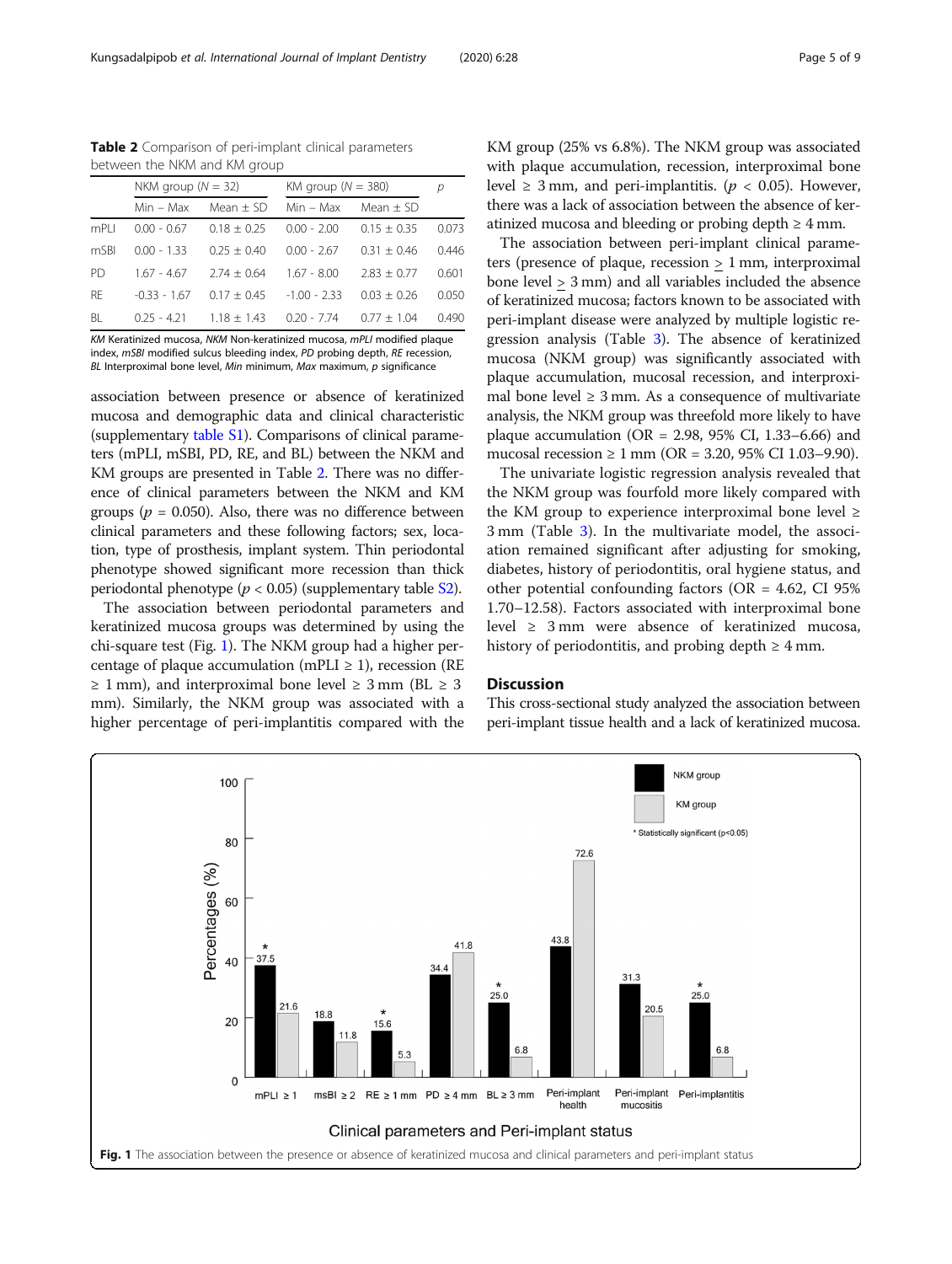Table 2 Comparison of peri-implant clinical parameters between the NKM and KM group

|           | NKM group ( $N = 32$ ) |                 | KM group ( $N = 380$ ) |               | р     |
|-----------|------------------------|-----------------|------------------------|---------------|-------|
|           | $Min - Max$            | Mean $\pm$ SD   | $Min - Max$            | Mean $\pm$ SD |       |
| mPI I     | $0.00 - 0.67$          | $0.18 + 0.25$   | $0.00 - 2.00$          | $0.15 + 0.35$ | 0.073 |
| mSBI      | $0.00 - 1.33$          | $0.25 + 0.40$   | $0.00 - 2.67$          | $0.31 + 0.46$ | 0.446 |
| PD.       | $1.67 - 4.67$          | $2.74 \pm 0.64$ | $1.67 - 8.00$          | $2.83 + 0.77$ | 0.601 |
| <b>RF</b> | $-0.33 - 1.67$         | $0.17 + 0.45$   | $-1.00 - 2.33$         | $0.03 + 0.26$ | 0.050 |
| BL        | $0.25 - 4.21$          | $1.18 + 1.43$   | $0.20 - 7.74$          | $0.77 + 1.04$ | 0.490 |
|           |                        |                 |                        |               |       |

KM Keratinized mucosa, NKM Non-keratinized mucosa, mPLI modified plaque index, mSBI modified sulcus bleeding index, PD probing depth, RE recession,  $BL$  Interproximal bone level, Min minimum, Max maximum,  $p$  significance

association between presence or absence of keratinized mucosa and demographic data and clinical characteristic (supplementary [table S1\)](#page-7-0). Comparisons of clinical parameters (mPLI, mSBI, PD, RE, and BL) between the NKM and KM groups are presented in Table 2. There was no difference of clinical parameters between the NKM and KM groups ( $p = 0.050$ ). Also, there was no difference between clinical parameters and these following factors; sex, location, type of prosthesis, implant system. Thin periodontal phenotype showed significant more recession than thick periodontal phenotype ( $p < 0.05$ ) (supplementary table [S2\)](#page-7-0).

The association between periodontal parameters and keratinized mucosa groups was determined by using the chi-square test (Fig. 1). The NKM group had a higher percentage of plaque accumulation (mPLI  $\geq$  1), recession (RE  $\geq$  1 mm), and interproximal bone level  $\geq$  3 mm (BL  $\geq$  3 mm). Similarly, the NKM group was associated with a higher percentage of peri-implantitis compared with the KM group (25% vs 6.8%). The NKM group was associated with plaque accumulation, recession, interproximal bone level  $\geq$  3 mm, and peri-implantitis. ( $p < 0.05$ ). However, there was a lack of association between the absence of keratinized mucosa and bleeding or probing depth  $\geq 4$  mm.

The association between peri-implant clinical parameters (presence of plaque, recession > 1 mm, interproximal bone level > 3 mm) and all variables included the absence of keratinized mucosa; factors known to be associated with peri-implant disease were analyzed by multiple logistic regression analysis (Table [3\)](#page-5-0). The absence of keratinized mucosa (NKM group) was significantly associated with plaque accumulation, mucosal recession, and interproximal bone level  $\geq 3$  mm. As a consequence of multivariate analysis, the NKM group was threefold more likely to have plaque accumulation (OR = 2.98, 95% CI, 1.33–6.66) and mucosal recession ≥ 1 mm (OR = 3.20, 95% CI 1.03–9.90).

The univariate logistic regression analysis revealed that the NKM group was fourfold more likely compared with the KM group to experience interproximal bone level  $\geq$ 3 mm (Table [3\)](#page-5-0). In the multivariate model, the association remained significant after adjusting for smoking, diabetes, history of periodontitis, oral hygiene status, and other potential confounding factors ( $OR = 4.62$ , CI 95%) 1.70–12.58). Factors associated with interproximal bone level ≥ 3 mm were absence of keratinized mucosa, history of periodontitis, and probing depth  $\geq 4$  mm.

# Discussion

This cross-sectional study analyzed the association between peri-implant tissue health and a lack of keratinized mucosa.

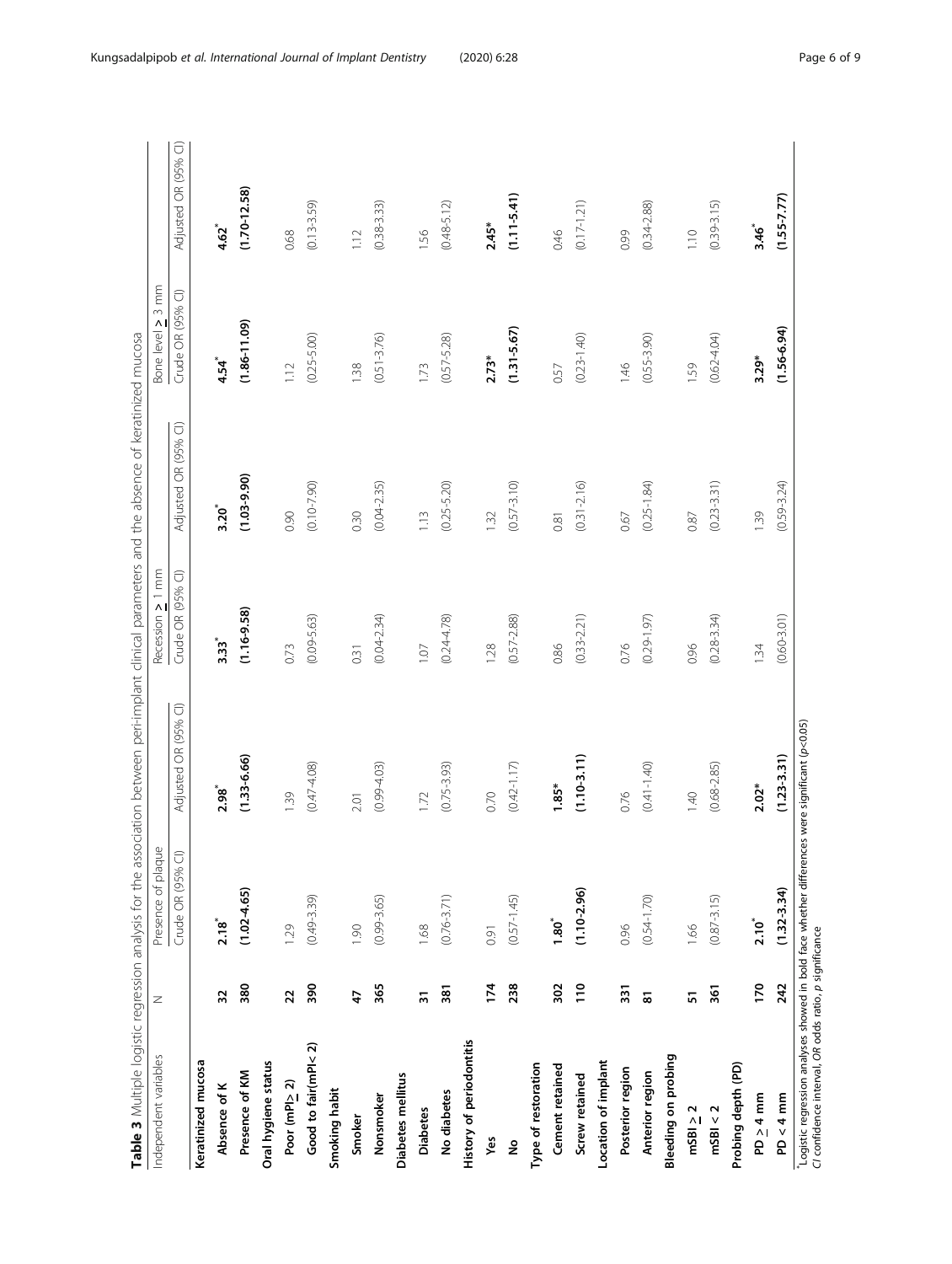| j<br>ł<br>j<br>İ<br>ï<br>l                                     |  |
|----------------------------------------------------------------|--|
| i                                                              |  |
| ï<br>٢<br>l<br>j<br>Į<br>I                                     |  |
|                                                                |  |
| j<br>ļ<br>ì<br>ļ                                               |  |
|                                                                |  |
| I<br>)                                                         |  |
| j<br>j<br>١<br>ć<br>1                                          |  |
| ï<br>֡֡֡֡֡֡֡֡                                                  |  |
| l                                                              |  |
| i                                                              |  |
| ļ<br>i<br>٦<br>J                                               |  |
| ì<br>í<br>Ï                                                    |  |
| í<br>í                                                         |  |
| ֧ׅ֚֞֜<br>j<br>ì<br>ł                                           |  |
| ١<br>j                                                         |  |
| j<br>¢                                                         |  |
| I                                                              |  |
| ١<br>ñ                                                         |  |
| j<br>I<br>$\frac{1}{2}$                                        |  |
| Î                                                              |  |
| ă<br>j<br>ļ<br>ž                                               |  |
| ł<br>ī                                                         |  |
| $\overline{\mathbf{S}}$<br>ı<br>$\ddot{\phantom{0}}$           |  |
| i<br>j<br>į<br>I                                               |  |
| ١<br>Í                                                         |  |
| I<br>١                                                         |  |
| ĺ<br>I                                                         |  |
| Ì<br>١                                                         |  |
| I<br>1<br>I                                                    |  |
| ١<br>ł                                                         |  |
| ł                                                              |  |
| i<br>$\tilde{c}$<br>Ī<br>ļ                                     |  |
| $\mathfrak{c}$<br>٢<br>١                                       |  |
| ï<br>١<br>5                                                    |  |
| ł<br>١<br>ì<br>j                                               |  |
| i<br>٢<br>Ì<br>$\mathbf$<br>й<br>j                             |  |
| $\overline{\phantom{a}}$<br>$\overline{\phantom{0}}$<br>J<br>흕 |  |
| ∶<br>÷<br>$\mathbf{r}$                                         |  |
| 1                                                              |  |
|                                                                |  |
| ١                                                              |  |
| d<br>١<br>i                                                    |  |
| $\overline{\phantom{a}}$                                       |  |
| ׇ֚֕֡                                                           |  |

<span id="page-5-0"></span>

| Adjusted OR (95% CI)<br>$(1.10 - 3.11)$<br>$(1.33 - 6.66)$<br>$(0.42 - 1.17)$<br>$(0.47 - 4.08)$<br>$(0.75 - 3.93)$<br>$(0.99 - 4.03)$<br>$1.85*$<br>$2.98^{*}$<br>0.76<br>1.39<br>0.70<br>1.72<br>2.01<br>Crude OR (95% CI)<br>$(1.02 - 4.65)$<br>$(1.10 - 2.96)$<br>$(0.76 - 3.71)$<br>$(0.54 - 1.70)$<br>$(0.49 - 3.39)$<br>$(0.99 - 3.65)$<br>$(0.57 - 1.45)$<br>$1.80^\circ$<br>$2.18$ <sup>*</sup><br>1.29<br>0.96<br>1.90<br>1.68<br>0.91<br>380<br>390<br>365<br>302<br>$\frac{1}{2}$<br>174<br>238<br>381<br>331<br>$\overline{2}$<br>5<br>32<br>47<br>$\overline{3}$<br>History of periodontitis<br>Good to fair(mPl<2)<br>Keratinized mucosa<br>Oral hygiene status<br>Location of implant<br>Type of restoration<br>Cement retained<br>Posterior region<br>Presence of KM<br>Anterior region<br>Diabetes mellitus<br>Screw retained<br>Poor (mPl> 2)<br>Absence of K<br>Smoking habit<br>No diabetes<br>Nonsmoker<br><b>Diabetes</b><br>Smoker<br>Yes<br>ş |                 | Crude OR (95% CI)<br>$(1.16 - 9.58)$<br>$(0.09 - 5.63)$<br>$(0.04 - 2.34)$<br>$(0.24 - 4.78)$<br>$3.33$ <sup>*</sup><br>0.73<br>1.07<br>0.31 | $\widehat{\cup}$<br>Adjusted OR (95%<br>$(1.03 - 9.90)$<br>$(0.10 - 7.90)$<br>$(0.04 - 2.35)$<br>$3.20^{*}$<br>0.90<br>0.30 | Crude OR (95% CI)<br>$(1.86 - 11.09)$<br>$(0.25 - 5.00)$<br>$4.54$ <sup>*</sup><br>1.12 | $\widehat{\cup}$<br>Adjusted OR (95%<br>$4.62^{*}$ |
|------------------------------------------------------------------------------------------------------------------------------------------------------------------------------------------------------------------------------------------------------------------------------------------------------------------------------------------------------------------------------------------------------------------------------------------------------------------------------------------------------------------------------------------------------------------------------------------------------------------------------------------------------------------------------------------------------------------------------------------------------------------------------------------------------------------------------------------------------------------------------------------------------------------------------------------------------------------------|-----------------|----------------------------------------------------------------------------------------------------------------------------------------------|-----------------------------------------------------------------------------------------------------------------------------|-----------------------------------------------------------------------------------------|----------------------------------------------------|
|                                                                                                                                                                                                                                                                                                                                                                                                                                                                                                                                                                                                                                                                                                                                                                                                                                                                                                                                                                        |                 |                                                                                                                                              |                                                                                                                             |                                                                                         |                                                    |
|                                                                                                                                                                                                                                                                                                                                                                                                                                                                                                                                                                                                                                                                                                                                                                                                                                                                                                                                                                        |                 |                                                                                                                                              |                                                                                                                             |                                                                                         |                                                    |
|                                                                                                                                                                                                                                                                                                                                                                                                                                                                                                                                                                                                                                                                                                                                                                                                                                                                                                                                                                        |                 |                                                                                                                                              |                                                                                                                             |                                                                                         |                                                    |
|                                                                                                                                                                                                                                                                                                                                                                                                                                                                                                                                                                                                                                                                                                                                                                                                                                                                                                                                                                        |                 |                                                                                                                                              |                                                                                                                             |                                                                                         | $(1.70 - 12.58)$                                   |
|                                                                                                                                                                                                                                                                                                                                                                                                                                                                                                                                                                                                                                                                                                                                                                                                                                                                                                                                                                        |                 |                                                                                                                                              |                                                                                                                             |                                                                                         |                                                    |
|                                                                                                                                                                                                                                                                                                                                                                                                                                                                                                                                                                                                                                                                                                                                                                                                                                                                                                                                                                        |                 |                                                                                                                                              |                                                                                                                             |                                                                                         | 0.68                                               |
|                                                                                                                                                                                                                                                                                                                                                                                                                                                                                                                                                                                                                                                                                                                                                                                                                                                                                                                                                                        |                 |                                                                                                                                              |                                                                                                                             |                                                                                         | $(0.13 - 3.59)$                                    |
|                                                                                                                                                                                                                                                                                                                                                                                                                                                                                                                                                                                                                                                                                                                                                                                                                                                                                                                                                                        |                 |                                                                                                                                              |                                                                                                                             |                                                                                         |                                                    |
|                                                                                                                                                                                                                                                                                                                                                                                                                                                                                                                                                                                                                                                                                                                                                                                                                                                                                                                                                                        |                 |                                                                                                                                              |                                                                                                                             | 1.38                                                                                    | 1.12                                               |
|                                                                                                                                                                                                                                                                                                                                                                                                                                                                                                                                                                                                                                                                                                                                                                                                                                                                                                                                                                        |                 |                                                                                                                                              |                                                                                                                             | $(0.51 - 3.76)$                                                                         | $(0.38 - 3.33)$                                    |
|                                                                                                                                                                                                                                                                                                                                                                                                                                                                                                                                                                                                                                                                                                                                                                                                                                                                                                                                                                        |                 |                                                                                                                                              |                                                                                                                             |                                                                                         |                                                    |
|                                                                                                                                                                                                                                                                                                                                                                                                                                                                                                                                                                                                                                                                                                                                                                                                                                                                                                                                                                        |                 |                                                                                                                                              | 1.13                                                                                                                        | 1.73                                                                                    | 1.56                                               |
|                                                                                                                                                                                                                                                                                                                                                                                                                                                                                                                                                                                                                                                                                                                                                                                                                                                                                                                                                                        |                 |                                                                                                                                              | $(0.25 - 5.20)$                                                                                                             | $(0.57 - 5.28)$                                                                         | $(0.48 - 5.12)$                                    |
|                                                                                                                                                                                                                                                                                                                                                                                                                                                                                                                                                                                                                                                                                                                                                                                                                                                                                                                                                                        |                 |                                                                                                                                              |                                                                                                                             |                                                                                         |                                                    |
|                                                                                                                                                                                                                                                                                                                                                                                                                                                                                                                                                                                                                                                                                                                                                                                                                                                                                                                                                                        |                 | 1.28                                                                                                                                         | 132                                                                                                                         | $2.73*$                                                                                 | $2.45*$                                            |
|                                                                                                                                                                                                                                                                                                                                                                                                                                                                                                                                                                                                                                                                                                                                                                                                                                                                                                                                                                        |                 | $(0.57 - 2.88)$                                                                                                                              | $(0.57 - 3.10)$                                                                                                             | $(1.31 - 5.67)$                                                                         | $(1.11 - 5.41)$                                    |
|                                                                                                                                                                                                                                                                                                                                                                                                                                                                                                                                                                                                                                                                                                                                                                                                                                                                                                                                                                        |                 |                                                                                                                                              |                                                                                                                             |                                                                                         |                                                    |
|                                                                                                                                                                                                                                                                                                                                                                                                                                                                                                                                                                                                                                                                                                                                                                                                                                                                                                                                                                        |                 | 0.86                                                                                                                                         | 0.81                                                                                                                        | 0.57                                                                                    | 0.46                                               |
|                                                                                                                                                                                                                                                                                                                                                                                                                                                                                                                                                                                                                                                                                                                                                                                                                                                                                                                                                                        |                 | $(0.33 - 2.21)$                                                                                                                              | $(0.31 - 2.16)$                                                                                                             | $(0.23 - 1.40)$                                                                         | $(0.17 - 1.21)$                                    |
|                                                                                                                                                                                                                                                                                                                                                                                                                                                                                                                                                                                                                                                                                                                                                                                                                                                                                                                                                                        |                 |                                                                                                                                              |                                                                                                                             |                                                                                         |                                                    |
|                                                                                                                                                                                                                                                                                                                                                                                                                                                                                                                                                                                                                                                                                                                                                                                                                                                                                                                                                                        |                 | 0.76                                                                                                                                         | 0.67                                                                                                                        | 1.46                                                                                    | 0.99                                               |
|                                                                                                                                                                                                                                                                                                                                                                                                                                                                                                                                                                                                                                                                                                                                                                                                                                                                                                                                                                        | $(0.41 - 1.40)$ | $(0.29 - 1.97)$                                                                                                                              | $(0.25 - 1.84)$                                                                                                             | $(0.55 - 3.90)$                                                                         | $(0.34 - 2.88)$                                    |
| Bleeding on probing                                                                                                                                                                                                                                                                                                                                                                                                                                                                                                                                                                                                                                                                                                                                                                                                                                                                                                                                                    |                 |                                                                                                                                              |                                                                                                                             |                                                                                         |                                                    |
| $\frac{40}{5}$<br>1.66<br>ត<br>mSB > 2                                                                                                                                                                                                                                                                                                                                                                                                                                                                                                                                                                                                                                                                                                                                                                                                                                                                                                                                 |                 | 0.96                                                                                                                                         | 0.87                                                                                                                        | 1.59                                                                                    | 1.10                                               |
| $(0.68 - 2.85)$<br>$(0.87 - 3.15)$<br>361<br>msB1 < 2                                                                                                                                                                                                                                                                                                                                                                                                                                                                                                                                                                                                                                                                                                                                                                                                                                                                                                                  |                 | $(0.28 - 3.34)$                                                                                                                              | $(0.23 - 3.31)$                                                                                                             | $(0.62 - 4.04)$                                                                         | $(0.39 - 3.15)$                                    |
| Probing depth (PD)                                                                                                                                                                                                                                                                                                                                                                                                                                                                                                                                                                                                                                                                                                                                                                                                                                                                                                                                                     |                 |                                                                                                                                              |                                                                                                                             |                                                                                         |                                                    |
| $2.02*$<br>$2.10^{*}$<br>170<br>$PD > 4$ mm                                                                                                                                                                                                                                                                                                                                                                                                                                                                                                                                                                                                                                                                                                                                                                                                                                                                                                                            |                 | 1.34                                                                                                                                         | 139                                                                                                                         | 3.29*                                                                                   | $3.46$ <sup>*</sup>                                |
| $(1.23 - 3.31)$<br>$(1.32 - 3.34)$<br>242<br>$PD < 4$ mm                                                                                                                                                                                                                                                                                                                                                                                                                                                                                                                                                                                                                                                                                                                                                                                                                                                                                                               |                 | $(0.60 - 3.01)$                                                                                                                              | $(0.59 - 3.24)$                                                                                                             | $(1.56 - 6.94)$                                                                         | $(1.55 - 7.77)$                                    |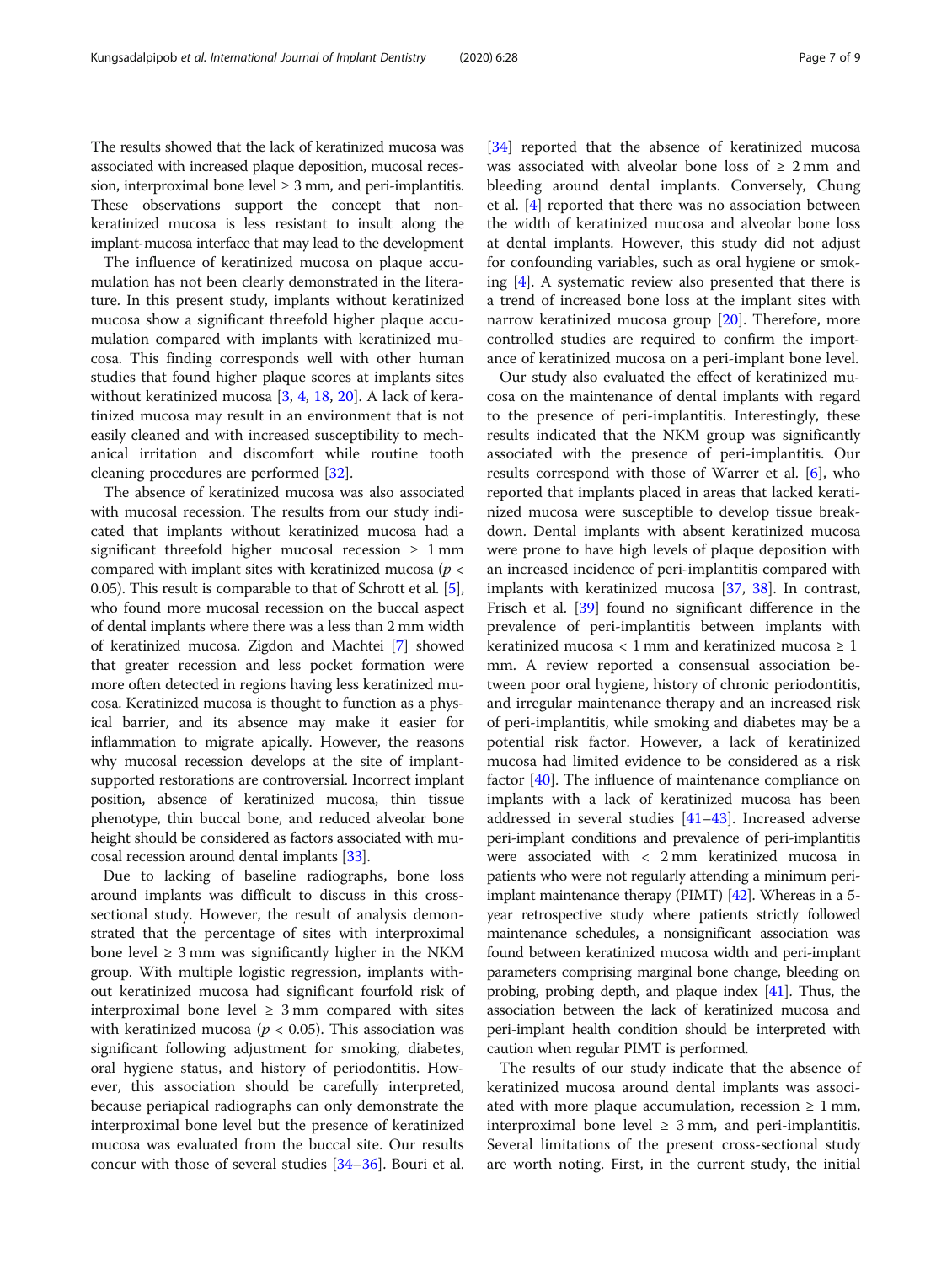The results showed that the lack of keratinized mucosa was associated with increased plaque deposition, mucosal recession, interproximal bone level  $\geq 3$  mm, and peri-implantitis. These observations support the concept that nonkeratinized mucosa is less resistant to insult along the implant-mucosa interface that may lead to the development

The influence of keratinized mucosa on plaque accumulation has not been clearly demonstrated in the literature. In this present study, implants without keratinized mucosa show a significant threefold higher plaque accumulation compared with implants with keratinized mucosa. This finding corresponds well with other human studies that found higher plaque scores at implants sites without keratinized mucosa [\[3](#page-7-0), [4](#page-7-0), [18](#page-7-0), [20](#page-8-0)]. A lack of keratinized mucosa may result in an environment that is not easily cleaned and with increased susceptibility to mechanical irritation and discomfort while routine tooth cleaning procedures are performed [[32\]](#page-8-0).

The absence of keratinized mucosa was also associated with mucosal recession. The results from our study indicated that implants without keratinized mucosa had a significant threefold higher mucosal recession  $\geq 1$  mm compared with implant sites with keratinized mucosa ( $p <$ 0.05). This result is comparable to that of Schrott et al. [[5](#page-7-0)], who found more mucosal recession on the buccal aspect of dental implants where there was a less than 2 mm width of keratinized mucosa. Zigdon and Machtei [[7\]](#page-7-0) showed that greater recession and less pocket formation were more often detected in regions having less keratinized mucosa. Keratinized mucosa is thought to function as a physical barrier, and its absence may make it easier for inflammation to migrate apically. However, the reasons why mucosal recession develops at the site of implantsupported restorations are controversial. Incorrect implant position, absence of keratinized mucosa, thin tissue phenotype, thin buccal bone, and reduced alveolar bone height should be considered as factors associated with mucosal recession around dental implants [\[33\]](#page-8-0).

Due to lacking of baseline radiographs, bone loss around implants was difficult to discuss in this crosssectional study. However, the result of analysis demonstrated that the percentage of sites with interproximal bone level  $\geq 3$  mm was significantly higher in the NKM group. With multiple logistic regression, implants without keratinized mucosa had significant fourfold risk of interproximal bone level  $\geq$  3 mm compared with sites with keratinized mucosa ( $p < 0.05$ ). This association was significant following adjustment for smoking, diabetes, oral hygiene status, and history of periodontitis. However, this association should be carefully interpreted, because periapical radiographs can only demonstrate the interproximal bone level but the presence of keratinized mucosa was evaluated from the buccal site. Our results concur with those of several studies [[34](#page-8-0)–[36](#page-8-0)]. Bouri et al. [[34\]](#page-8-0) reported that the absence of keratinized mucosa was associated with alveolar bone loss of  $\geq 2$  mm and bleeding around dental implants. Conversely, Chung et al. [\[4](#page-7-0)] reported that there was no association between the width of keratinized mucosa and alveolar bone loss at dental implants. However, this study did not adjust for confounding variables, such as oral hygiene or smoking [\[4](#page-7-0)]. A systematic review also presented that there is a trend of increased bone loss at the implant sites with narrow keratinized mucosa group [\[20\]](#page-8-0). Therefore, more controlled studies are required to confirm the importance of keratinized mucosa on a peri-implant bone level.

Our study also evaluated the effect of keratinized mucosa on the maintenance of dental implants with regard to the presence of peri-implantitis. Interestingly, these results indicated that the NKM group was significantly associated with the presence of peri-implantitis. Our results correspond with those of Warrer et al. [\[6\]](#page-7-0), who reported that implants placed in areas that lacked keratinized mucosa were susceptible to develop tissue breakdown. Dental implants with absent keratinized mucosa were prone to have high levels of plaque deposition with an increased incidence of peri-implantitis compared with implants with keratinized mucosa [[37](#page-8-0), [38\]](#page-8-0). In contrast, Frisch et al. [\[39](#page-8-0)] found no significant difference in the prevalence of peri-implantitis between implants with keratinized mucosa < 1 mm and keratinized mucosa  $\geq 1$ mm. A review reported a consensual association between poor oral hygiene, history of chronic periodontitis, and irregular maintenance therapy and an increased risk of peri-implantitis, while smoking and diabetes may be a potential risk factor. However, a lack of keratinized mucosa had limited evidence to be considered as a risk factor [[40](#page-8-0)]. The influence of maintenance compliance on implants with a lack of keratinized mucosa has been addressed in several studies [[41](#page-8-0)–[43](#page-8-0)]. Increased adverse peri-implant conditions and prevalence of peri-implantitis were associated with < 2 mm keratinized mucosa in patients who were not regularly attending a minimum periimplant maintenance therapy (PIMT) [\[42\]](#page-8-0). Whereas in a 5 year retrospective study where patients strictly followed maintenance schedules, a nonsignificant association was found between keratinized mucosa width and peri-implant parameters comprising marginal bone change, bleeding on probing, probing depth, and plaque index [\[41\]](#page-8-0). Thus, the association between the lack of keratinized mucosa and peri-implant health condition should be interpreted with caution when regular PIMT is performed.

The results of our study indicate that the absence of keratinized mucosa around dental implants was associated with more plaque accumulation, recession  $\geq 1$  mm, interproximal bone level  $\geq$  3 mm, and peri-implantitis. Several limitations of the present cross-sectional study are worth noting. First, in the current study, the initial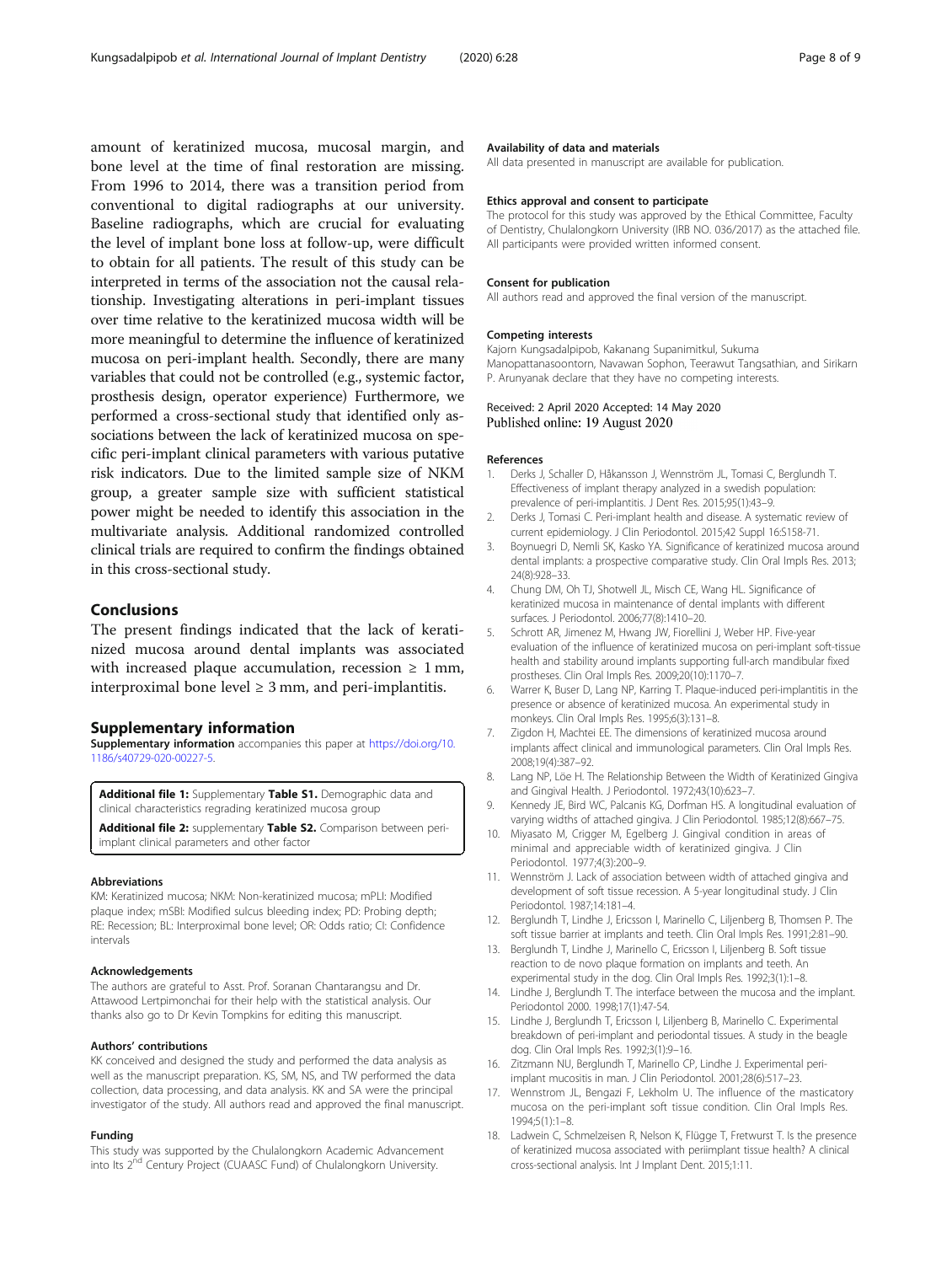<span id="page-7-0"></span>amount of keratinized mucosa, mucosal margin, and bone level at the time of final restoration are missing. From 1996 to 2014, there was a transition period from conventional to digital radiographs at our university. Baseline radiographs, which are crucial for evaluating the level of implant bone loss at follow-up, were difficult to obtain for all patients. The result of this study can be interpreted in terms of the association not the causal relationship. Investigating alterations in peri-implant tissues over time relative to the keratinized mucosa width will be more meaningful to determine the influence of keratinized mucosa on peri-implant health. Secondly, there are many variables that could not be controlled (e.g., systemic factor, prosthesis design, operator experience) Furthermore, we performed a cross-sectional study that identified only associations between the lack of keratinized mucosa on specific peri-implant clinical parameters with various putative risk indicators. Due to the limited sample size of NKM group, a greater sample size with sufficient statistical power might be needed to identify this association in the multivariate analysis. Additional randomized controlled clinical trials are required to confirm the findings obtained in this cross-sectional study.

# Conclusions

The present findings indicated that the lack of keratinized mucosa around dental implants was associated with increased plaque accumulation, recession  $\geq 1$  mm, interproximal bone level  $\geq 3$  mm, and peri-implantitis.

# Supplementary information

Supplementary information accompanies this paper at [https://doi.org/10.](https://doi.org/10.1186/s40729-020-00227-5) [1186/s40729-020-00227-5](https://doi.org/10.1186/s40729-020-00227-5).

Additional file 1: Supplementary Table S1. Demographic data and clinical characteristics regrading keratinized mucosa group

Additional file 2: supplementary Table S2. Comparison between periimplant clinical parameters and other factor

## Abbreviations

KM: Keratinized mucosa; NKM: Non-keratinized mucosa; mPLI: Modified plaque index; mSBI: Modified sulcus bleeding index; PD: Probing depth; RE: Recession; BL: Interproximal bone level; OR: Odds ratio; CI: Confidence intervals

#### Acknowledgements

The authors are grateful to Asst. Prof. Soranan Chantarangsu and Dr. Attawood Lertpimonchai for their help with the statistical analysis. Our thanks also go to Dr Kevin Tompkins for editing this manuscript.

#### Authors' contributions

KK conceived and designed the study and performed the data analysis as well as the manuscript preparation. KS, SM, NS, and TW performed the data collection, data processing, and data analysis. KK and SA were the principal investigator of the study. All authors read and approved the final manuscript.

## Funding

This study was supported by the Chulalongkorn Academic Advancement into Its 2<sup>nd</sup> Century Project (CUAASC Fund) of Chulalongkorn University.

## Availability of data and materials

All data presented in manuscript are available for publication.

#### Ethics approval and consent to participate

The protocol for this study was approved by the Ethical Committee, Faculty of Dentistry, Chulalongkorn University (IRB NO. 036/2017) as the attached file. All participants were provided written informed consent.

#### Consent for publication

All authors read and approved the final version of the manuscript.

#### Competing interests

Kajorn Kungsadalpipob, Kakanang Supanimitkul, Sukuma Manopattanasoontorn, Navawan Sophon, Teerawut Tangsathian, and Sirikarn P. Arunyanak declare that they have no competing interests.

# Received: 2 April 2020 Accepted: 14 May 2020<br>Published online: 19 August 2020

#### References

- 1. Derks J, Schaller D, Håkansson J, Wennström JL, Tomasi C, Berglundh T. Effectiveness of implant therapy analyzed in a swedish population: prevalence of peri-implantitis. J Dent Res. 2015;95(1):43–9.
- 2. Derks J, Tomasi C. Peri-implant health and disease. A systematic review of current epidemiology. J Clin Periodontol. 2015;42 Suppl 16:S158-71.
- 3. Boynuegri D, Nemli SK, Kasko YA. Significance of keratinized mucosa around dental implants: a prospective comparative study. Clin Oral Impls Res. 2013; 24(8):928–33.
- 4. Chung DM, Oh TJ, Shotwell JL, Misch CE, Wang HL. Significance of keratinized mucosa in maintenance of dental implants with different surfaces. J Periodontol. 2006;77(8):1410–20.
- 5. Schrott AR, Jimenez M, Hwang JW, Fiorellini J, Weber HP. Five-year evaluation of the influence of keratinized mucosa on peri-implant soft-tissue health and stability around implants supporting full-arch mandibular fixed prostheses. Clin Oral Impls Res. 2009;20(10):1170–7.
- 6. Warrer K, Buser D, Lang NP, Karring T. Plaque-induced peri-implantitis in the presence or absence of keratinized mucosa. An experimental study in monkeys. Clin Oral Impls Res. 1995;6(3):131–8.
- 7. Zigdon H, Machtei EE. The dimensions of keratinized mucosa around implants affect clinical and immunological parameters. Clin Oral Impls Res. 2008;19(4):387–92.
- 8. Lang NP, Löe H. The Relationship Between the Width of Keratinized Gingiva and Gingival Health. J Periodontol. 1972;43(10):623–7.
- 9. Kennedy JE, Bird WC, Palcanis KG, Dorfman HS. A longitudinal evaluation of varying widths of attached gingiva. J Clin Periodontol. 1985;12(8):667–75.
- 10. Miyasato M, Crigger M, Egelberg J. Gingival condition in areas of minimal and appreciable width of keratinized gingiva. J Clin Periodontol. 1977;4(3):200–9.
- 11. Wennström J. Lack of association between width of attached gingiva and development of soft tissue recession. A 5-year longitudinal study. J Clin Periodontol. 1987;14:181–4.
- 12. Berglundh T, Lindhe J, Ericsson I, Marinello C, Liljenberg B, Thomsen P. The soft tissue barrier at implants and teeth. Clin Oral Impls Res. 1991;2:81–90.
- 13. Berglundh T, Lindhe J, Marinello C, Ericsson I, Liljenberg B. Soft tissue reaction to de novo plaque formation on implants and teeth. An experimental study in the dog. Clin Oral Impls Res. 1992;3(1):1–8.
- 14. Lindhe J, Berglundh T. The interface between the mucosa and the implant. Periodontol 2000. 1998;17(1):47-54.
- 15. Lindhe J, Berglundh T, Ericsson I, Liljenberg B, Marinello C. Experimental breakdown of peri-implant and periodontal tissues. A study in the beagle dog. Clin Oral Impls Res. 1992;3(1):9–16.
- 16. Zitzmann NU, Berglundh T, Marinello CP, Lindhe J. Experimental periimplant mucositis in man. J Clin Periodontol. 2001;28(6):517–23.
- 17. Wennstrom JL, Bengazi F, Lekholm U. The influence of the masticatory mucosa on the peri-implant soft tissue condition. Clin Oral Impls Res. 1994;5(1):1–8.
- 18. Ladwein C, Schmelzeisen R, Nelson K, Flügge T, Fretwurst T. Is the presence of keratinized mucosa associated with periimplant tissue health? A clinical cross-sectional analysis. Int J Implant Dent. 2015;1:11.